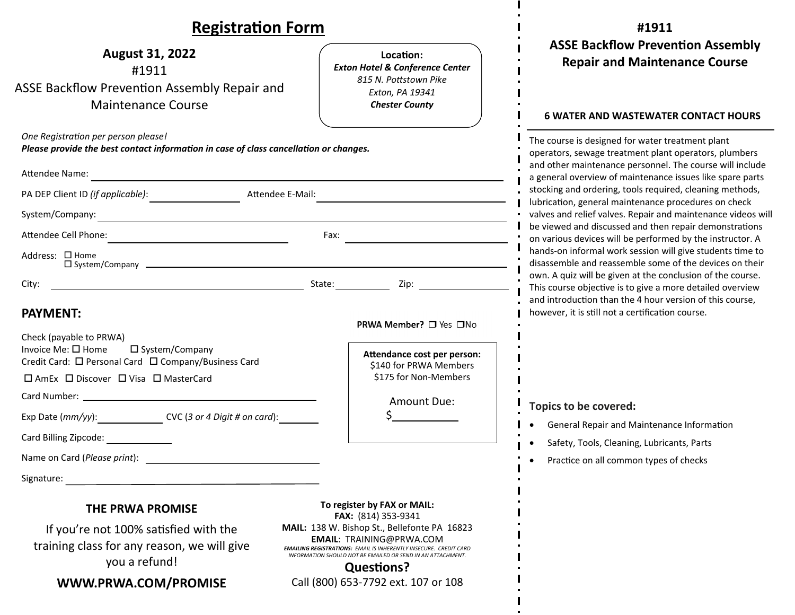### **RegistraƟon Form**

| <b>Registration Form</b>                                                                                                                                                                                                                                                                                                                                                                            |                                                                                                                                                                                                                                                                                                                                              | #1911                                                                                                                                                                                                                                                                                                                                                        |  |
|-----------------------------------------------------------------------------------------------------------------------------------------------------------------------------------------------------------------------------------------------------------------------------------------------------------------------------------------------------------------------------------------------------|----------------------------------------------------------------------------------------------------------------------------------------------------------------------------------------------------------------------------------------------------------------------------------------------------------------------------------------------|--------------------------------------------------------------------------------------------------------------------------------------------------------------------------------------------------------------------------------------------------------------------------------------------------------------------------------------------------------------|--|
| <b>August 31, 2022</b><br>#1911<br>ASSE Backflow Prevention Assembly Repair and<br><b>Maintenance Course</b>                                                                                                                                                                                                                                                                                        | Location:<br><b>Exton Hotel &amp; Conference Center</b><br>815 N. Pottstown Pike<br>Exton, PA 19341<br><b>Chester County</b>                                                                                                                                                                                                                 | <b>ASSE Backflow Prevention Assembly</b><br><b>Repair and Maintenance Course</b><br><b>6 WATER AND WASTEWATER CONTACT HOURS</b>                                                                                                                                                                                                                              |  |
| One Registration per person please!<br>Please provide the best contact information in case of class cancellation or changes.<br>Attendee Name:<br>the control of the control of the control of the control of the control of the control of the control of the control of the control of the control of the control of the control of the control of the control of the control<br>Attendee E-Mail: |                                                                                                                                                                                                                                                                                                                                              | The course is designed for water treatment plant<br>operators, sewage treatment plant operators, plumbers<br>and other maintenance personnel. The course will include<br>a general overview of maintenance issues like spare parts<br>stocking and ordering, tools required, cleaning methods,<br>lubrication, general maintenance procedures on check       |  |
| System/Company:<br>the control of the control of the control of the control of the control of the control of the control of the control of the control of the control of the control of the control of the control of the control of the control<br>Attendee Cell Phone:<br>the control of the control of the control of the control of<br>Address: □ Home                                          | Fax:                                                                                                                                                                                                                                                                                                                                         | valves and relief valves. Repair and maintenance videos will<br>be viewed and discussed and then repair demonstrations<br>on various devices will be performed by the instructor. A<br>hands-on informal work session will give students time to<br>disassemble and reassemble some of the devices on their                                                  |  |
| <b>PAYMENT:</b><br>Check (payable to PRWA)<br>Invoice Me: □ Home<br>□ System/Company<br>Credit Card: □ Personal Card □ Company/Business Card                                                                                                                                                                                                                                                        | Zip: $\qquad \qquad \qquad$<br>PRWA Member? □ Yes □No<br>Attendance cost per person:<br>\$140 for PRWA Members                                                                                                                                                                                                                               | own. A quiz will be given at the conclusion of the course.<br>This course objective is to give a more detailed overview<br>and introduction than the 4 hour version of this course,<br>however, it is still not a certification course.<br>Topics to be covered:<br>General Repair and Maintenance Information<br>Safety, Tools, Cleaning, Lubricants, Parts |  |
| □ AmEx □ Discover □ Visa □ MasterCard<br>Exp Date (mm/yy): CVC (3 or 4 Digit # on card):<br>Card Billing Zipcode:                                                                                                                                                                                                                                                                                   | \$175 for Non-Members<br>Amount Due:                                                                                                                                                                                                                                                                                                         |                                                                                                                                                                                                                                                                                                                                                              |  |
| Name on Card (Please print):<br>Signature:                                                                                                                                                                                                                                                                                                                                                          |                                                                                                                                                                                                                                                                                                                                              | Practice on all common types of checks                                                                                                                                                                                                                                                                                                                       |  |
| THE PRWA PROMISE<br>If you're not 100% satisfied with the<br>training class for any reason, we will give<br>you a refund!<br>WWW.PRWA.COM/PROMISE                                                                                                                                                                                                                                                   | To register by FAX or MAIL:<br>FAX: (814) 353-9341<br>MAIL: 138 W. Bishop St., Bellefonte PA 16823<br><b>EMAIL: TRAINING@PRWA.COM</b><br><b>EMAILING REGISTRATIONS: EMAIL IS INHERENTLY INSECURE. CREDIT CARD</b><br>INFORMATION SHOULD NOT BE EMAILED OR SEND IN AN ATTACHMENT.<br><b>Questions?</b><br>Call (800) 653-7792 ext. 107 or 108 |                                                                                                                                                                                                                                                                                                                                                              |  |

 $\mathbf{I}$ 

 $\mathbf{I}$  $\bullet$